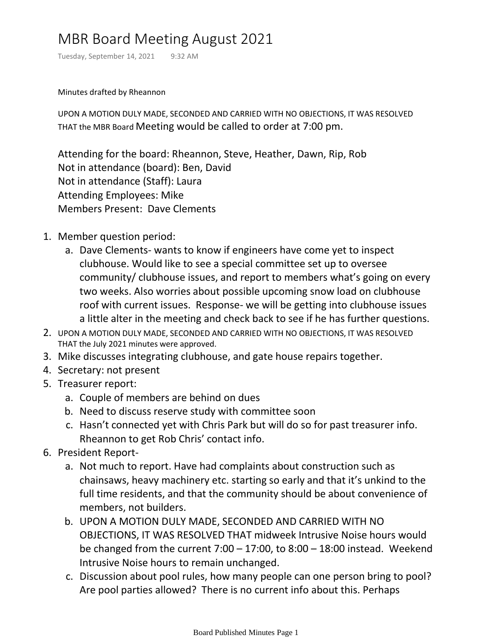# MBR Board Meeting August 2021

Tuesday, September 14, 2021 9:32 AM

Minutes drafted by Rheannon

UPON A MOTION DULY MADE, SECONDED AND CARRIED WITH NO OBJECTIONS, IT WAS RESOLVED THAT the MBR Board Meeting would be called to order at 7:00 pm.

Attending for the board: Rheannon, Steve, Heather, Dawn, Rip, Rob Not in attendance (board): Ben, David Not in attendance (Staff): Laura Attending Employees: Mike Members Present: Dave Clements

- 1. Member question period:
	- a. Dave Clements- wants to know if engineers have come yet to inspect clubhouse. Would like to see a special committee set up to oversee community/ clubhouse issues, and report to members what's going on every two weeks. Also worries about possible upcoming snow load on clubhouse roof with current issues. Response- we will be getting into clubhouse issues a little alter in the meeting and check back to see if he has further questions.
- 2. UPON A MOTION DULY MADE, SECONDED AND CARRIED WITH NO OBJECTIONS, IT WAS RESOLVED THAT the July 2021 minutes were approved.
- 3. Mike discusses integrating clubhouse, and gate house repairs together.
- 4. Secretary: not present
- 5. Treasurer report:
	- a. Couple of members are behind on dues
	- b. Need to discuss reserve study with committee soon
	- c. Hasn't connected yet with Chris Park but will do so for past treasurer info. Rheannon to get Rob Chris' contact info.
- 6. President Report
	- a. Not much to report. Have had complaints about construction such as chainsaws, heavy machinery etc. starting so early and that it's unkind to the full time residents, and that the community should be about convenience of members, not builders.
	- UPON A MOTION DULY MADE, SECONDED AND CARRIED WITH NO b. OBJECTIONS, IT WAS RESOLVED THAT midweek Intrusive Noise hours would be changed from the current  $7:00 - 17:00$ , to  $8:00 - 18:00$  instead. Weekend Intrusive Noise hours to remain unchanged.
	- c. Discussion about pool rules, how many people can one person bring to pool? Are pool parties allowed? There is no current info about this. Perhaps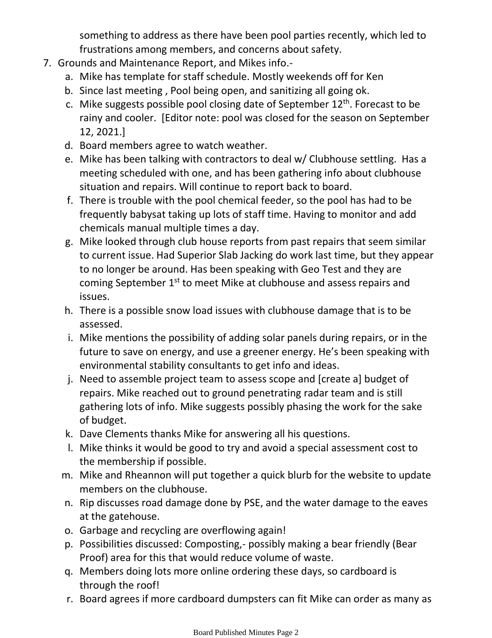something to address as there have been pool parties recently, which led to frustrations among members, and concerns about safety.

- 7. Grounds and Maintenance Report, and Mikes info.
	- a. Mike has template for staff schedule. Mostly weekends off for Ken
	- b. Since last meeting , Pool being open, and sanitizing all going ok.
	- c. Mike suggests possible pool closing date of September 12<sup>th</sup>. Forecast to be rainy and cooler. [Editor note: pool was closed for the season on September 12, 2021.]
	- d. Board members agree to watch weather.
	- e. Mike has been talking with contractors to deal w/ Clubhouse settling. Has a meeting scheduled with one, and has been gathering info about clubhouse situation and repairs. Will continue to report back to board.
	- f. There is trouble with the pool chemical feeder, so the pool has had to be frequently babysat taking up lots of staff time. Having to monitor and add chemicals manual multiple times a day.
	- Mike looked through club house reports from past repairs that seem similar g. to current issue. Had Superior Slab Jacking do work last time, but they appear to no longer be around. Has been speaking with Geo Test and they are coming September 1st to meet Mike at clubhouse and assess repairs and issues.
	- h. There is a possible snow load issues with clubhouse damage that is to be assessed.
	- Mike mentions the possibility of adding solar panels during repairs, or in the i. future to save on energy, and use a greener energy. He's been speaking with environmental stability consultants to get info and ideas.
	- Need to assemble project team to assess scope and [create a] budget of j. repairs. Mike reached out to ground penetrating radar team and is still gathering lots of info. Mike suggests possibly phasing the work for the sake of budget.
	- k. Dave Clements thanks Mike for answering all his questions.
	- Mike thinks it would be good to try and avoid a special assessment cost to l. the membership if possible.
	- m. Mike and Rheannon will put together a quick blurb for the website to update members on the clubhouse.
	- n. Rip discusses road damage done by PSE, and the water damage to the eaves at the gatehouse.
	- o. Garbage and recycling are overflowing again!
	- p. Possibilities discussed: Composting,- possibly making a bear friendly (Bear Proof) area for this that would reduce volume of waste.
	- Members doing lots more online ordering these days, so cardboard is q. through the roof!
	- r. Board agrees if more cardboard dumpsters can fit Mike can order as many as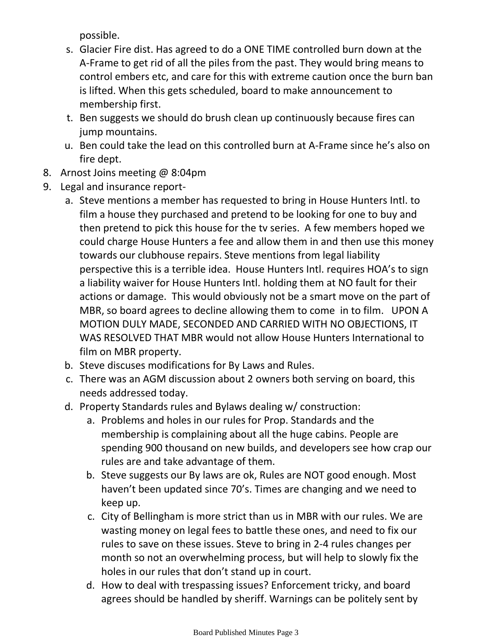possible.

- Glacier Fire dist. Has agreed to do a ONE TIME controlled burn down at the s. A-Frame to get rid of all the piles from the past. They would bring means to control embers etc, and care for this with extreme caution once the burn ban is lifted. When this gets scheduled, board to make announcement to membership first.
- t. Ben suggests we should do brush clean up continuously because fires can jump mountains.
- u. Ben could take the lead on this controlled burn at A-Frame since he's also on fire dept.
- 8. Arnost Joins meeting @ 8:04pm
- 9. Legal and insurance report
	- a. Steve mentions a member has requested to bring in House Hunters Intl. to film a house they purchased and pretend to be looking for one to buy and then pretend to pick this house for the tv series. A few members hoped we could charge House Hunters a fee and allow them in and then use this money towards our clubhouse repairs. Steve mentions from legal liability perspective this is a terrible idea. House Hunters Intl. requires HOA's to sign a liability waiver for House Hunters Intl. holding them at NO fault for their actions or damage. This would obviously not be a smart move on the part of MBR, so board agrees to decline allowing them to come in to film. UPON A MOTION DULY MADE, SECONDED AND CARRIED WITH NO OBJECTIONS, IT WAS RESOLVED THAT MBR would not allow House Hunters International to film on MBR property.
	- b. Steve discuses modifications for By Laws and Rules.
	- There was an AGM discussion about 2 owners both serving on board, this c. needs addressed today.
	- d. Property Standards rules and Bylaws dealing w/ construction:
		- a. Problems and holes in our rules for Prop. Standards and the membership is complaining about all the huge cabins. People are spending 900 thousand on new builds, and developers see how crap our rules are and take advantage of them.
		- b. Steve suggests our By laws are ok, Rules are NOT good enough. Most haven't been updated since 70's. Times are changing and we need to keep up.
		- c. City of Bellingham is more strict than us in MBR with our rules. We are wasting money on legal fees to battle these ones, and need to fix our rules to save on these issues. Steve to bring in 2-4 rules changes per month so not an overwhelming process, but will help to slowly fix the holes in our rules that don't stand up in court.
		- d. How to deal with trespassing issues? Enforcement tricky, and board agrees should be handled by sheriff. Warnings can be politely sent by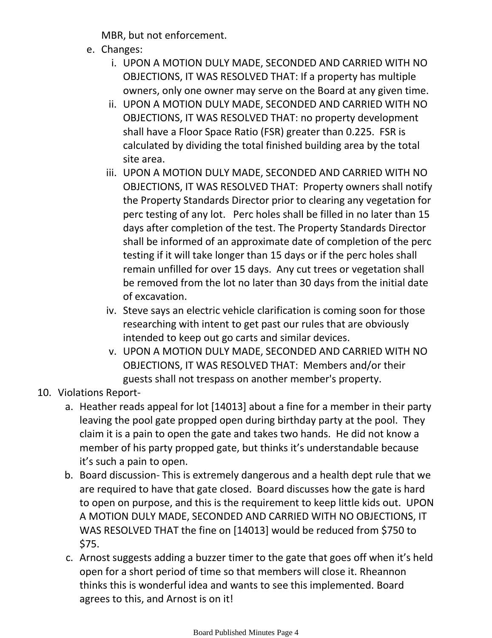MBR, but not enforcement.

- e. Changes:
	- UPON A MOTION DULY MADE, SECONDED AND CARRIED WITH NO i. OBJECTIONS, IT WAS RESOLVED THAT: If a property has multiple owners, only one owner may serve on the Board at any given time.
	- ii. UPON A MOTION DULY MADE, SECONDED AND CARRIED WITH NO OBJECTIONS, IT WAS RESOLVED THAT: no property development shall have a Floor Space Ratio (FSR) greater than 0.225. FSR is calculated by dividing the total finished building area by the total site area.
	- iii. UPON A MOTION DULY MADE, SECONDED AND CARRIED WITH NO OBJECTIONS, IT WAS RESOLVED THAT: Property owners shall notify the Property Standards Director prior to clearing any vegetation for perc testing of any lot. Perc holes shall be filled in no later than 15 days after completion of the test. The Property Standards Director shall be informed of an approximate date of completion of the perc testing if it will take longer than 15 days or if the perc holes shall remain unfilled for over 15 days. Any cut trees or vegetation shall be removed from the lot no later than 30 days from the initial date of excavation.
	- iv. Steve says an electric vehicle clarification is coming soon for those researching with intent to get past our rules that are obviously intended to keep out go carts and similar devices.
	- v. UPON A MOTION DULY MADE, SECONDED AND CARRIED WITH NO OBJECTIONS, IT WAS RESOLVED THAT: Members and/or their guests shall not trespass on another member's property.
- 10. Violations Report
	- a. Heather reads appeal for lot [14013] about a fine for a member in their party leaving the pool gate propped open during birthday party at the pool. They claim it is a pain to open the gate and takes two hands. He did not know a member of his party propped gate, but thinks it's understandable because it's such a pain to open.
	- b. Board discussion- This is extremely dangerous and a health dept rule that we are required to have that gate closed. Board discusses how the gate is hard to open on purpose, and this is the requirement to keep little kids out. UPON A MOTION DULY MADE, SECONDED AND CARRIED WITH NO OBJECTIONS, IT WAS RESOLVED THAT the fine on [14013] would be reduced from \$750 to \$75.
	- c. Arnost suggests adding a buzzer timer to the gate that goes off when it's held open for a short period of time so that members will close it. Rheannon thinks this is wonderful idea and wants to see this implemented. Board agrees to this, and Arnost is on it!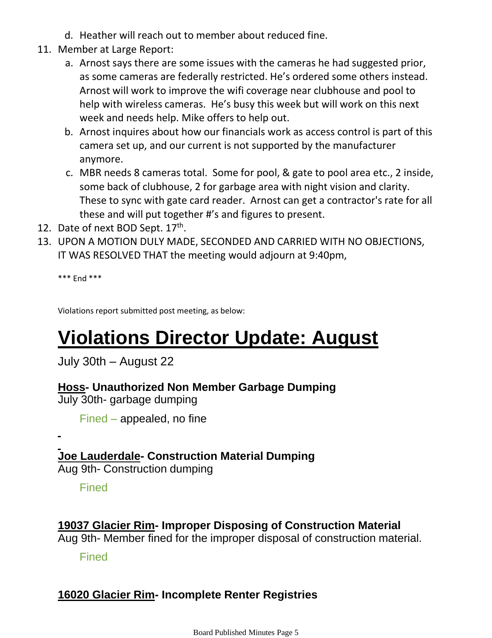- d. Heather will reach out to member about reduced fine.
- 11. Member at Large Report:
	- a. Arnost says there are some issues with the cameras he had suggested prior, as some cameras are federally restricted. He's ordered some others instead. Arnost will work to improve the wifi coverage near clubhouse and pool to help with wireless cameras. He's busy this week but will work on this next week and needs help. Mike offers to help out.
	- b. Arnost inquires about how our financials work as access control is part of this camera set up, and our current is not supported by the manufacturer anymore.
	- MBR needs 8 cameras total. Some for pool, & gate to pool area etc., 2 inside, c. some back of clubhouse, 2 for garbage area with night vision and clarity. These to sync with gate card reader. Arnost can get a contractor's rate for all these and will put together #'s and figures to present.
- 12. Date of next BOD Sept. 17th.
- UPON A MOTION DULY MADE, SECONDED AND CARRIED WITH NO OBJECTIONS, 13. IT WAS RESOLVED THAT the meeting would adjourn at 9:40pm,

\*\*\* End \*\*\*

Violations report submitted post meeting, as below:

# **Violations Director Update: August**

July 30th – August 22

### **Hoss- Unauthorized Non Member Garbage Dumping**

July 30th- garbage dumping

Fined – appealed, no fine

**Joe Lauderdale- Construction Material Dumping**

Aug 9th- Construction dumping

**Fined** 

# **19037 Glacier Rim- Improper Disposing of Construction Material**

Aug 9th- Member fined for the improper disposal of construction material.

Fined

## **16020 Glacier Rim- Incomplete Renter Registries**